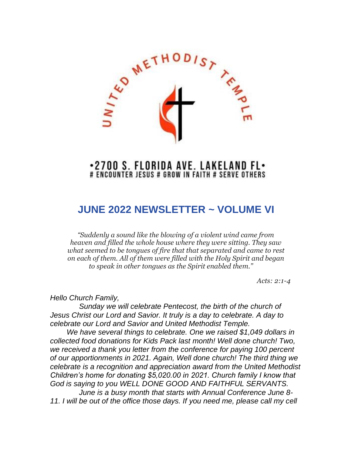

## .2700 S. FLORIDA AVE. LAKELAND FL. # ENCOUNTER JESUS # GROW IN FAITH # SERVE OTHERS

# **JUNE 2022 NEWSLETTER ~ VOLUME VI**

*"Suddenly a sound like the blowing of a violent wind came from heaven and filled the whole house where they were sitting. They saw what seemed to be tongues of fire that that separated and came to rest on each of them. All of them were filled with the Holy Spirit and began to speak in other tongues as the Spirit enabled them."* 

*Acts: 2:1-4*

*Hello Church Family,*

 *Sunday we will celebrate Pentecost, the birth of the church of Jesus Christ our Lord and Savior. It truly is a day to celebrate. A day to celebrate our Lord and Savior and United Methodist Temple.*

 *We have several things to celebrate. One we raised \$1,049 dollars in collected food donations for Kids Pack last month! Well done church! Two, we received a thank you letter from the conference for paying 100 percent of our apportionments in 2021. Again, Well done church! The third thing we celebrate is a recognition and appreciation award from the United Methodist Children's home for donating \$5,020.00 in 2021. Church family I know that God is saying to you WELL DONE GOOD AND FAITHFUL SERVANTS. June is a busy month that starts with Annual Conference June 8-*

*11. I will be out of the office those days. If you need me, please call my cell*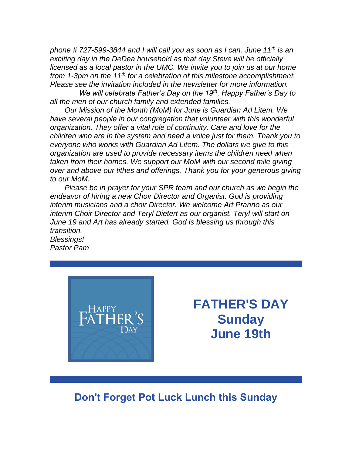*phone # 727-599-3844 and I will call you as soon as I can. June 11th is an exciting day in the DeDea household as that day Steve will be officially licensed as a local pastor in the UMC. We invite you to join us at our home from 1-3pm on the 11th for a celebration of this milestone accomplishment. Please see the invitation included in the newsletter for more information.* 

 *We will celebrate Father's Day on the 19th. Happy Father's Day to all the men of our church family and extended families.*

 *Our Mission of the Month (MoM) for June is Guardian Ad Litem. We have several people in our congregation that volunteer with this wonderful organization. They offer a vital role of continuity. Care and love for the children who are in the system and need a voice just for them. Thank you to everyone who works with Guardian Ad Litem. The dollars we give to this organization are used to provide necessary items the children need when taken from their homes. We support our MoM with our second mile giving over and above our tithes and offerings. Thank you for your generous giving to our MoM.*

 *Please be in prayer for your SPR team and our church as we begin the endeavor of hiring a new Choir Director and Organist. God is providing interim musicians and a choir Director. We welcome Art Pranno as our interim Choir Director and Teryl Dietert as our organist. Teryl will start on June 19 and Art has already started. God is blessing us through this transition. Blessings!*

*Pastor Pam*



**FATHER'S DAY Sunday June 19th**

# **Don't Forget Pot Luck Lunch this Sunday**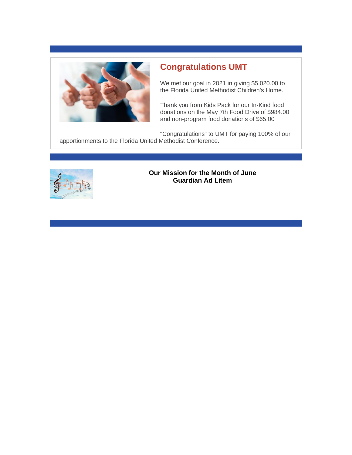

## **Congratulations UMT**

We met our goal in 2021 in giving \$5,020.00 to the Florida United Methodist Children's Home.

Thank you from Kids Pack for our In-Kind food donations on the May 7th Food Drive of \$984.00 and non-program food donations of \$65.00

"Congratulations" to UMT for paying 100% of our apportionments to the Florida United Methodist Conference.



## **Our Mission for the Month of June Guardian Ad Litem**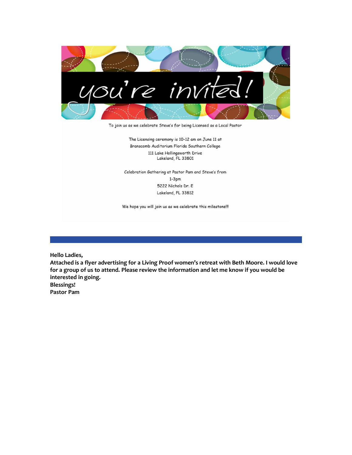

To join us as we celebrate Steve's for being Licensed as a Local Pastor

The Licensing ceremony is 10-12 am on June 11 at Branscomb Auditorium Florida Southern College 111 Lake Hollingsworth Drive Lakeland, FL 33801

Celebration Gathering at Pastor Pam and Steve's from  $1-3pm$ 5222 Nichols Dr. E Lakeland, FL 33812

We hope you will join us as we celebrate this milestone !!!

**Hello Ladies,**

**Attached is a flyer advertising for a Living Proof women's retreat with Beth Moore. I would love for a group of us to attend. Please review the information and let me know if you would be interested in going. Blessings!**

**Pastor Pam**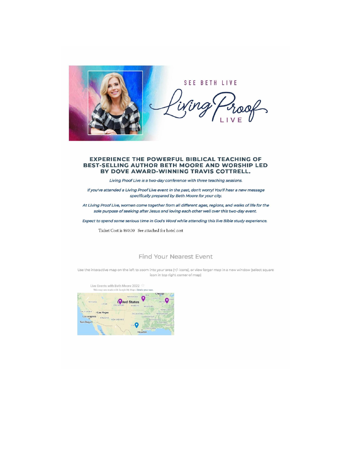

SEE BETH LIVE

#### **EXPERIENCE THE POWERFUL BIBLICAL TEACHING OF BEST-SELLING AUTHOR BETH MOORE AND WORSHIP LED** BY DOVE AWARD-WINNING TRAVIS COTTRELL.

Living Proof Live is a two-day conference with three teaching sessions.

If you've attended a Living Proof Live event in the past, don't worry! You'll hear a new message specifically prepared by Beth Moore for your city.

At Living Proof Live, women come together from all different ages, regions, and walks of life for the sole purpose of seeking after Jesus and loving each other well over this two-day event.

Expect to spend some serious time in God's Word while attending this live Bible study experience.

Ticket Cost is \$90.00 See attached for hotel cost

#### **Find Your Nearest Event**

Use the interactive map on the left to zoom into your area (+/- icons), or view larger map in a new window (select square icon in top right corner of map)

Live Events with Beth Moore 2022 This map was made with Google My Maps. Create your own **CALCRED STATES** - Chicago **INDIANO** NEVADA UTAH. MISSOUR CALIFORNIA OLas Vegas OKLAHOMA Los Angeles ARIZONA NEW MEXICO ARKANSAS San Diegoo ALABAMA TEX Houston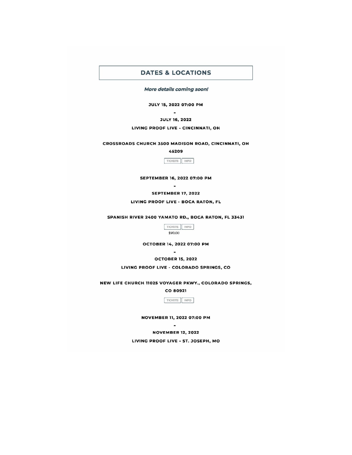### **DATES & LOCATIONS**

More details coming soon!

JULY 15, 2022 07:00 PM  $\bar{\phantom{a}}$ 

**JULY 16, 2022** 

LIVING PROOF LIVE - CINCINNATI, OH

CROSSROADS CHURCH 3500 MADISON ROAD, CINCINNATI, OH

45209

TICKETS INFO

SEPTEMBER 16, 2022 07:00 PM  $\sim$ 

**SEPTEMBER 17, 2022** 

LIVING PROOF LIVE - BOCA RATON, FL

SPANISH RIVER 2400 YAMATO RD., BOCA RATON, FL 33431

TICKETS NFO \$90.00

OCTOBER 14, 2022 07:00 PM

 $\blacksquare$ **OCTOBER 15, 2022** 

LIVING PROOF LIVE - COLORADO SPRINGS, CO

NEW LIFE CHURCH 11025 VOYAGER PKWY., COLORADO SPRINGS,

CO 80921



NOVEMBER 11, 2022 07:00 PM  $\sim$ 

**NOVEMBER 12, 2022** LIVING PROOF LIVE - ST. JOSEPH, MO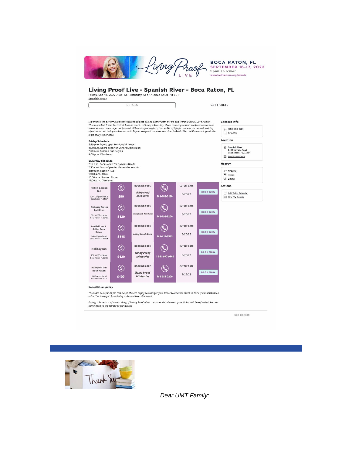|  |  | <b>BOCA RATON, FL</b><br><b>SEPTEMBER 16-17, 2022</b><br>Spanish River<br>www.bethmoore.org/events |
|--|--|----------------------------------------------------------------------------------------------------|
|--|--|----------------------------------------------------------------------------------------------------|

## Living Proof Live - Spanish River - Boca Raton, FL Friday, Sep 16, 2022 7:00 PM - Saturday, Sep 17, 2022 12:00 PM EDT Spanish River

| <b>GET TICKETS</b> |  |
|--------------------|--|

**Contact Info** S (888) 700-1999  $\boxdot$  Email Us

Location

Experience the powerful Biblical teaching of best-selling author Beth Moore and worship led by Dove Awardsure wave we premise unausur oursing of post-selling outbro feeth Moone and worship led by Dove Award-<br>Winning ortist Travis Cottrell ot Living Proof Livel Enjoy o two-day, three teaching session conference weekend<br>of the

DETAILS

**Friday Schedule:**<br>5:30 p.m. Doors open for Special Needs<br>6:00 p.m. Doors open for General Admission<br>7:00 p.m. Session One Begins 2 Spanish River<br>2400 Yamato Road<br>Boca Raton, FL, 33431 9:00 p.m. Dismissed  $\boxdot$  Email Directions Saturday Schedule:<br>7:15 a.m. Doors open for Specials Needs<br>7:30 a.m. Doors Open for General Admission<br>8:30 a.m. Session Two **Nearby**  $\begin{tabular}{|c|c|} \hline $\mathcal{EP}$ & Airports \\ \hline \hline $\mathbb{F}$ & Hotols \\ \hline \end{tabular}$ 10:00 a.m. Break<br>10:00 a.m. Break<br>10:30 a.m. Session Three<br>12:00 p.m. Dismissed  $\%$  Dining **CUTOFF DATE BOOKING CODE** Actions  $\circledS$  $\mathbf{\mathbf{\mathbb{Q}}}$ Hilton Garden **Living Proof**<br>Boca Raton **BOOK NOW** Add To My Calendar 8/26/22 561-988-6110 \$99 S201 Congress Avenue<br>Boca Raton, FL 33487 Eind My Tickets Embassy Suites<br>by Hilton **BOOKING CODE CUTOFF DATE**  $\circledS$  $\mathbf{O}$ **BOOK NOW** .<br>Iving Proof- Boca Ro 8/26/22 661 NW 53rd Street<br>Boca Raton, FL 33487 \$129 561-994-8200 Fairfield Inn &<br>Suites Boca<br>Raton **BOOKING CODE CUTOFF DATE**  $\circled{s}$  $\mathbf{Q}$ **BOOK NOW** Living Proof-Boca 8/26/22 561-417-8585 3400 Airport Road<br>Boca Raton, FL 33431 \$118 **CUTOFF DATE BOOKING CODE**  $\circledS$  $\mathbb{Q}$ Holiday Inn **BOOK NOW Living Proof**<br>Ministries  $8/26/22$ 7C1 NW 53rd Street<br>Boca Raton, FL 33487 \$129 1-561-997-9500 **Hampton Inn<br>Boca Raton BOOKING CODE CUTOFF DATE**  $\circledS$  $\mathbf{\mathbf{\mathbb{Q}}}$ **BOOK NOW Living Proof**<br>**Ministries** 8/26/22 1455 Yamato Road<br>Boca Raton, FL 33431 \$109 561-988-0200

#### **Cancellation policy**

There are no refunds for this event. We are happy to transfer your ticket to another event in 2022 if circumstances<br>arise that keep you from being able to attend this event.

During this season of uncertainty, if Living Proof Ministries cancels this event your ticket will be refunded. We are committed to the safety of our quests.

**GET TICKETS** 



Dear UMT Family: